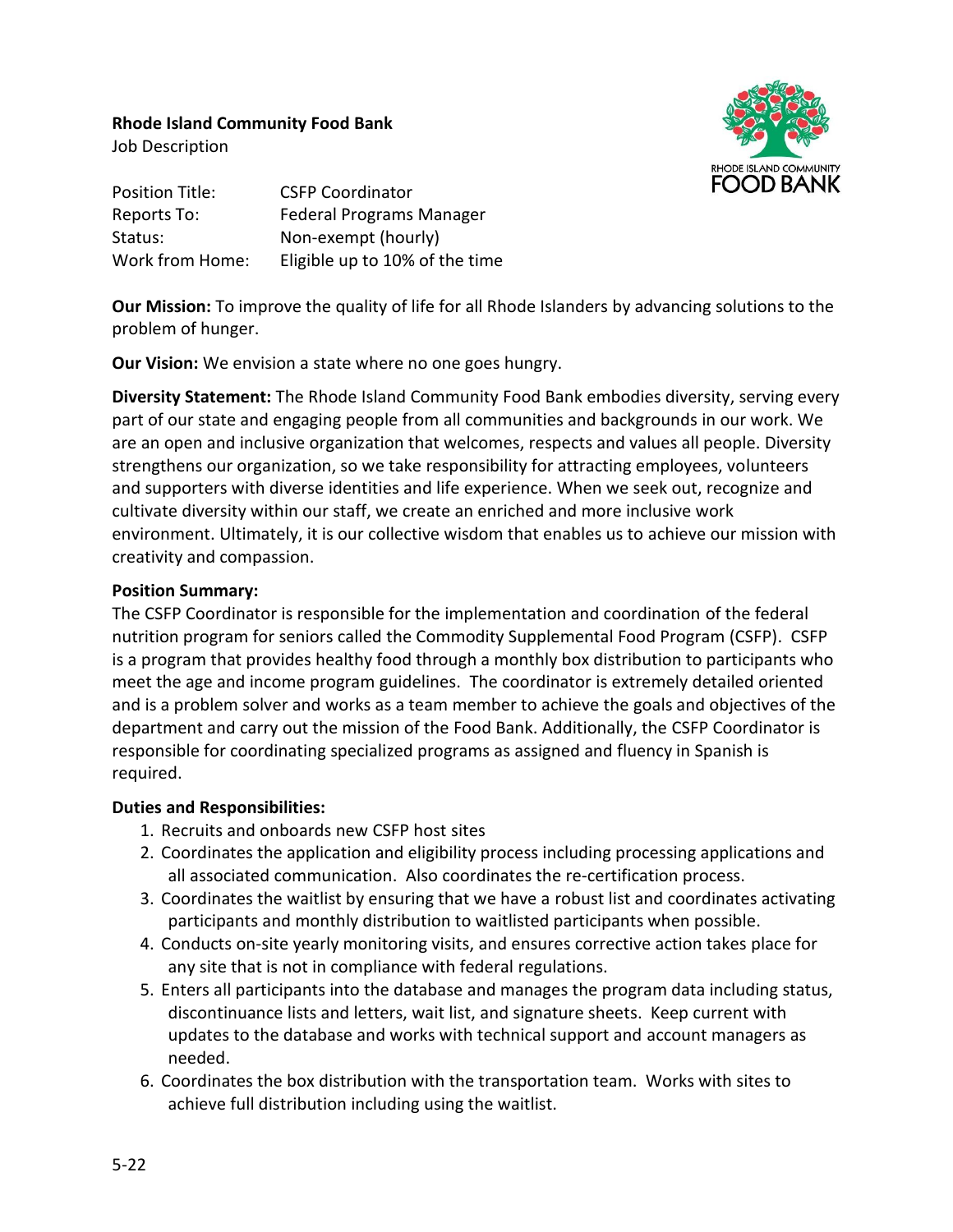## **Rhode Island Community Food Bank**



Job Description

Position Title: CSFP Coordinator Reports To: Federal Programs Manager Status: Non-exempt (hourly) Work from Home: Eligible up to 10% of the time

**Our Mission:** To improve the quality of life for all Rhode Islanders by advancing solutions to the problem of hunger.

**Our Vision:** We envision a state where no one goes hungry.

**Diversity Statement:** The Rhode Island Community Food Bank embodies diversity, serving every part of our state and engaging people from all communities and backgrounds in our work. We are an open and inclusive organization that welcomes, respects and values all people. Diversity strengthens our organization, so we take responsibility for attracting employees, volunteers and supporters with diverse identities and life experience. When we seek out, recognize and cultivate diversity within our staff, we create an enriched and more inclusive work environment. Ultimately, it is our collective wisdom that enables us to achieve our mission with creativity and compassion.

## **Position Summary:**

The CSFP Coordinator is responsible for the implementation and coordination of the federal nutrition program for seniors called the Commodity Supplemental Food Program (CSFP). CSFP is a program that provides healthy food through a monthly box distribution to participants who meet the age and income program guidelines. The coordinator is extremely detailed oriented and is a problem solver and works as a team member to achieve the goals and objectives of the department and carry out the mission of the Food Bank. Additionally, the CSFP Coordinator is responsible for coordinating specialized programs as assigned and fluency in Spanish is required.

## **Duties and Responsibilities:**

- 1. Recruits and onboards new CSFP host sites
- 2. Coordinates the application and eligibility process including processing applications and all associated communication. Also coordinates the re-certification process.
- 3. Coordinates the waitlist by ensuring that we have a robust list and coordinates activating participants and monthly distribution to waitlisted participants when possible.
- 4. Conducts on-site yearly monitoring visits, and ensures corrective action takes place for any site that is not in compliance with federal regulations.
- 5. Enters all participants into the database and manages the program data including status, discontinuance lists and letters, wait list, and signature sheets. Keep current with updates to the database and works with technical support and account managers as needed.
- 6. Coordinates the box distribution with the transportation team. Works with sites to achieve full distribution including using the waitlist.